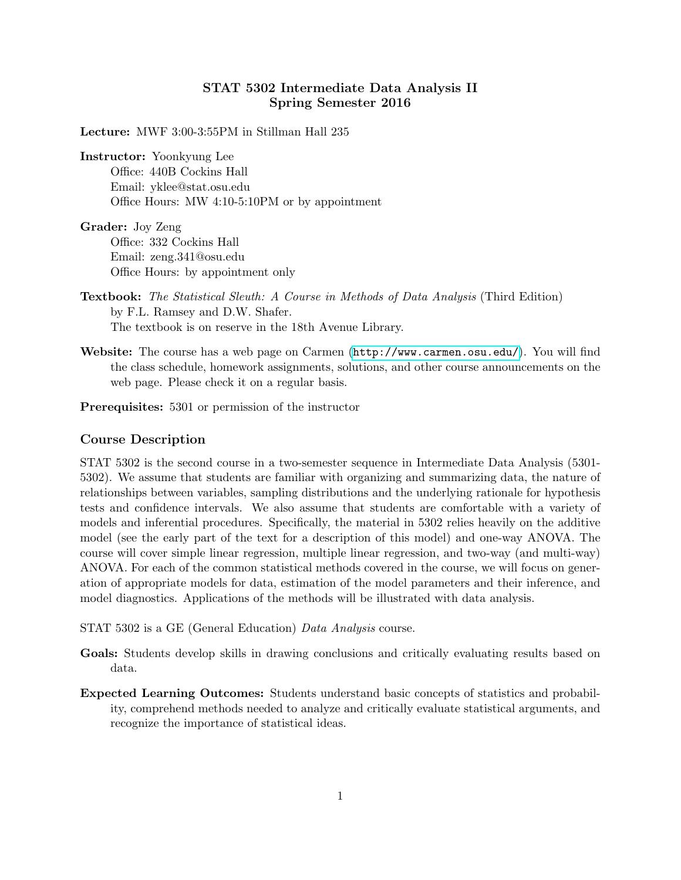# STAT 5302 Intermediate Data Analysis II Spring Semester 2016

Lecture: MWF 3:00-3:55PM in Stillman Hall 235

Instructor: Yoonkyung Lee

Office: 440B Cockins Hall Email: yklee@stat.osu.edu Office Hours: MW 4:10-5:10PM or by appointment

Grader: Joy Zeng Office: 332 Cockins Hall Email: zeng.341@osu.edu Office Hours: by appointment only

Textbook: The Statistical Sleuth: A Course in Methods of Data Analysis (Third Edition) by F.L. Ramsey and D.W. Shafer. The textbook is on reserve in the 18th Avenue Library.

Website: The course has a web page on Carmen (<http://www.carmen.osu.edu/>). You will find the class schedule, homework assignments, solutions, and other course announcements on the web page. Please check it on a regular basis.

Prerequisites: 5301 or permission of the instructor

#### Course Description

STAT 5302 is the second course in a two-semester sequence in Intermediate Data Analysis (5301- 5302). We assume that students are familiar with organizing and summarizing data, the nature of relationships between variables, sampling distributions and the underlying rationale for hypothesis tests and confidence intervals. We also assume that students are comfortable with a variety of models and inferential procedures. Specifically, the material in 5302 relies heavily on the additive model (see the early part of the text for a description of this model) and one-way ANOVA. The course will cover simple linear regression, multiple linear regression, and two-way (and multi-way) ANOVA. For each of the common statistical methods covered in the course, we will focus on generation of appropriate models for data, estimation of the model parameters and their inference, and model diagnostics. Applications of the methods will be illustrated with data analysis.

STAT 5302 is a GE (General Education) Data Analysis course.

- Goals: Students develop skills in drawing conclusions and critically evaluating results based on data.
- Expected Learning Outcomes: Students understand basic concepts of statistics and probability, comprehend methods needed to analyze and critically evaluate statistical arguments, and recognize the importance of statistical ideas.